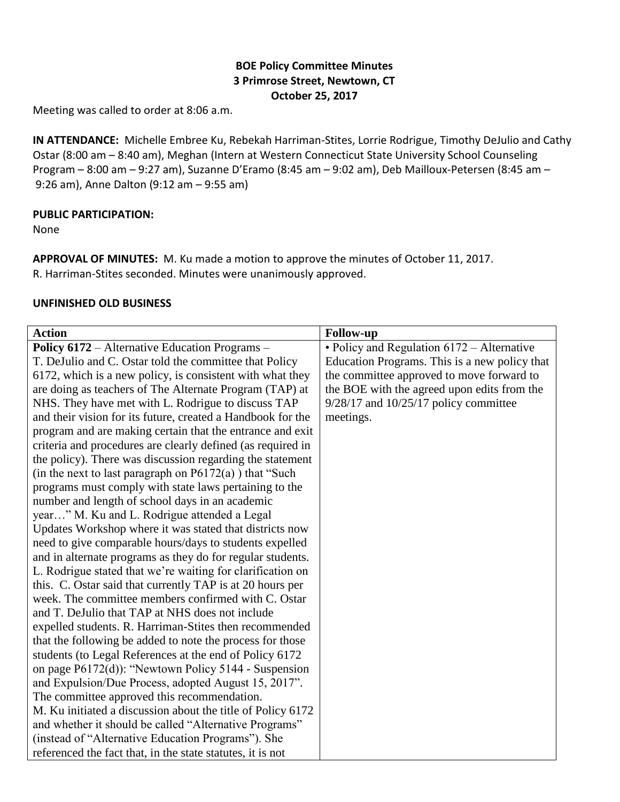## **BOE Policy Committee Minutes 3 Primrose Street, Newtown, CT October 25, 2017**

Meeting was called to order at 8:06 a.m.

**IN ATTENDANCE:** Michelle Embree Ku, Rebekah Harriman-Stites, Lorrie Rodrigue, Timothy DeJulio and Cathy Ostar (8:00 am – 8:40 am), Meghan (Intern at Western Connecticut State University School Counseling Program – 8:00 am – 9:27 am), Suzanne D'Eramo (8:45 am – 9:02 am), Deb Mailloux-Petersen (8:45 am – 9:26 am), Anne Dalton (9:12 am – 9:55 am)

#### **PUBLIC PARTICIPATION:**

None

**APPROVAL OF MINUTES:** M. Ku made a motion to approve the minutes of October 11, 2017. R. Harriman-Stites seconded. Minutes were unanimously approved.

### **UNFINISHED OLD BUSINESS**

| <b>Action</b>                                               | <b>Follow-up</b>                              |
|-------------------------------------------------------------|-----------------------------------------------|
|                                                             |                                               |
| <b>Policy 6172</b> – Alternative Education Programs –       | • Policy and Regulation 6172 – Alternative    |
| T. DeJulio and C. Ostar told the committee that Policy      | Education Programs. This is a new policy that |
| 6172, which is a new policy, is consistent with what they   | the committee approved to move forward to     |
| are doing as teachers of The Alternate Program (TAP) at     | the BOE with the agreed upon edits from the   |
| NHS. They have met with L. Rodrigue to discuss TAP          | $9/28/17$ and $10/25/17$ policy committee     |
| and their vision for its future, created a Handbook for the | meetings.                                     |
| program and are making certain that the entrance and exit   |                                               |
| criteria and procedures are clearly defined (as required in |                                               |
| the policy). There was discussion regarding the statement   |                                               |
| (in the next to last paragraph on $P6172(a)$ ) that "Such   |                                               |
| programs must comply with state laws pertaining to the      |                                               |
| number and length of school days in an academic             |                                               |
| year" M. Ku and L. Rodrigue attended a Legal                |                                               |
| Updates Workshop where it was stated that districts now     |                                               |
| need to give comparable hours/days to students expelled     |                                               |
| and in alternate programs as they do for regular students.  |                                               |
| L. Rodrigue stated that we're waiting for clarification on  |                                               |
| this. C. Ostar said that currently TAP is at 20 hours per   |                                               |
| week. The committee members confirmed with C. Ostar         |                                               |
| and T. DeJulio that TAP at NHS does not include             |                                               |
| expelled students. R. Harriman-Stites then recommended      |                                               |
| that the following be added to note the process for those   |                                               |
| students (to Legal References at the end of Policy 6172     |                                               |
| on page P6172(d)): "Newtown Policy 5144 - Suspension        |                                               |
| and Expulsion/Due Process, adopted August 15, 2017".        |                                               |
| The committee approved this recommendation.                 |                                               |
| M. Ku initiated a discussion about the title of Policy 6172 |                                               |
| and whether it should be called "Alternative Programs"      |                                               |
| (instead of "Alternative Education Programs"). She          |                                               |
| referenced the fact that, in the state statutes, it is not  |                                               |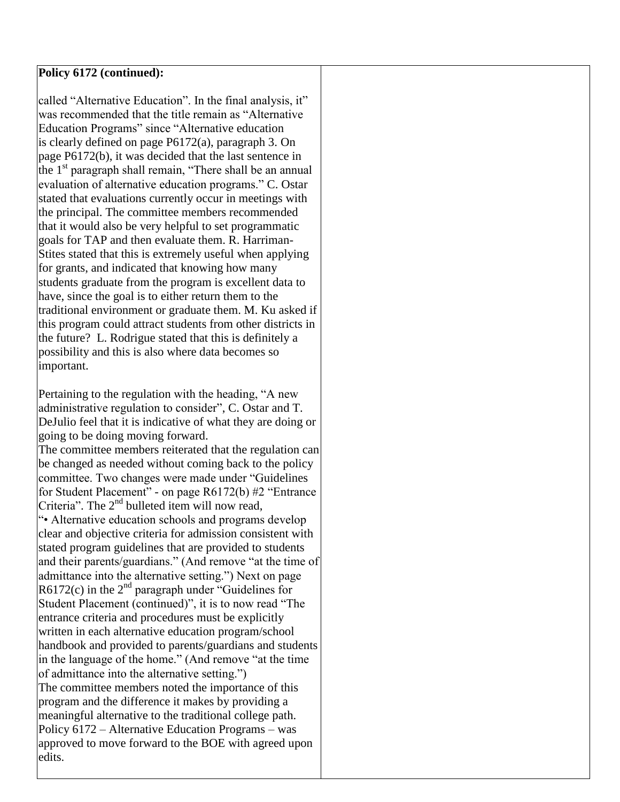### **Policy 6172 (continued):**

called "Alternative Education". In the final analysis, it" was recommended that the title remain as "Alternative Education Programs" since "Alternative education is clearly defined on page P6172(a), paragraph 3. On page P6172(b), it was decided that the last sentence in the  $1<sup>st</sup>$  paragraph shall remain, "There shall be an annual evaluation of alternative education programs." C. Ostar stated that evaluations currently occur in meetings with the principal. The committee members recommended that it would also be very helpful to set programmatic goals for TAP and then evaluate them. R. Harriman-Stites stated that this is extremely useful when applying for grants, and indicated that knowing how many students graduate from the program is excellent data to have, since the goal is to either return them to the traditional environment or graduate them. M. Ku asked if this program could attract students from other districts in the future? L. Rodrigue stated that this is definitely a possibility and this is also where data becomes so important.

Pertaining to the regulation with the heading, "A new administrative regulation to consider", C. Ostar and T. DeJulio feel that it is indicative of what they are doing or going to be doing moving forward. The committee members reiterated that the regulation can be changed as needed without coming back to the policy committee. Two changes were made under "Guidelines for Student Placement" - on page R6172(b) #2 "Entrance Criteria". The  $2<sup>nd</sup>$  bulleted item will now read, "• Alternative education schools and programs develop clear and objective criteria for admission consistent with stated program guidelines that are provided to students and their parents/guardians." (And remove "at the time of admittance into the alternative setting.") Next on page  $R6172(c)$  in the  $2<sup>nd</sup>$  paragraph under "Guidelines for Student Placement (continued)", it is to now read "The entrance criteria and procedures must be explicitly written in each alternative education program/school handbook and provided to parents/guardians and students in the language of the home." (And remove "at the time of admittance into the alternative setting.") The committee members noted the importance of this program and the difference it makes by providing a meaningful alternative to the traditional college path. Policy 6172 – Alternative Education Programs – was approved to move forward to the BOE with agreed upon edits.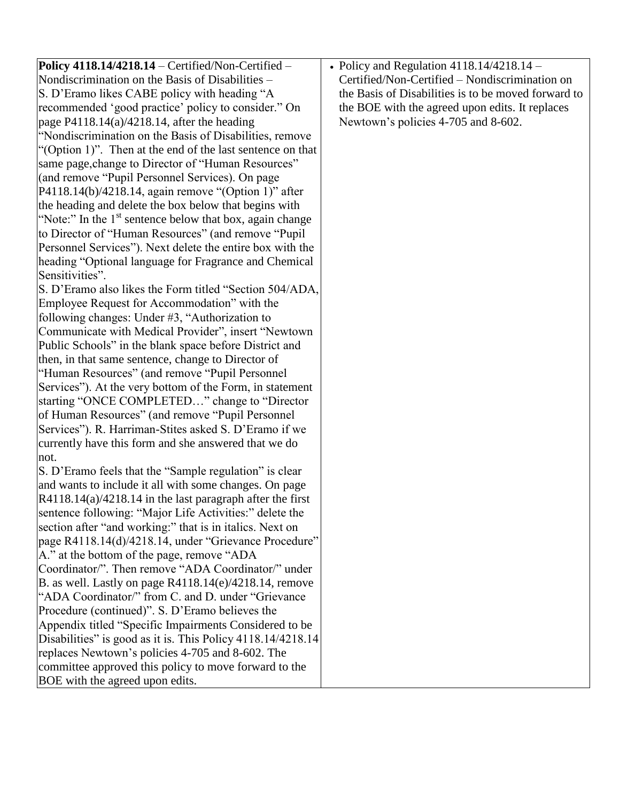| Policy 4118.14/4218.14 - Certified/Non-Certified -                                                                  | • Policy and Regulation $4118.14/4218.14 -$         |
|---------------------------------------------------------------------------------------------------------------------|-----------------------------------------------------|
| Nondiscrimination on the Basis of Disabilities –                                                                    | Certified/Non-Certified - Nondiscrimination on      |
| S. D'Eramo likes CABE policy with heading "A                                                                        | the Basis of Disabilities is to be moved forward to |
| recommended 'good practice' policy to consider." On                                                                 | the BOE with the agreed upon edits. It replaces     |
| page $P4118.14(a)/4218.14$ , after the heading                                                                      | Newtown's policies 4-705 and 8-602.                 |
| "Nondiscrimination on the Basis of Disabilities, remove                                                             |                                                     |
| "(Option 1)". Then at the end of the last sentence on that                                                          |                                                     |
| same page, change to Director of "Human Resources"                                                                  |                                                     |
| (and remove "Pupil Personnel Services). On page                                                                     |                                                     |
| P4118.14(b)/4218.14, again remove "(Option 1)" after                                                                |                                                     |
|                                                                                                                     |                                                     |
| the heading and delete the box below that begins with                                                               |                                                     |
| "Note:" In the 1 <sup>st</sup> sentence below that box, again change                                                |                                                     |
| to Director of "Human Resources" (and remove "Pupil                                                                 |                                                     |
| Personnel Services"). Next delete the entire box with the                                                           |                                                     |
| heading "Optional language for Fragrance and Chemical                                                               |                                                     |
| Sensitivities".                                                                                                     |                                                     |
| S. D'Eramo also likes the Form titled "Section 504/ADA,                                                             |                                                     |
| Employee Request for Accommodation" with the                                                                        |                                                     |
| following changes: Under $#3$ , "Authorization to                                                                   |                                                     |
| Communicate with Medical Provider", insert "Newtown                                                                 |                                                     |
| Public Schools" in the blank space before District and                                                              |                                                     |
| then, in that same sentence, change to Director of                                                                  |                                                     |
| "Human Resources" (and remove "Pupil Personnel"                                                                     |                                                     |
| Services"). At the very bottom of the Form, in statement                                                            |                                                     |
| starting "ONCE COMPLETED" change to "Director                                                                       |                                                     |
| of Human Resources" (and remove "Pupil Personnel                                                                    |                                                     |
| Services"). R. Harriman-Stites asked S. D'Eramo if we                                                               |                                                     |
| currently have this form and she answered that we do<br>not.                                                        |                                                     |
|                                                                                                                     |                                                     |
| S. D'Eramo feels that the "Sample regulation" is clear                                                              |                                                     |
| and wants to include it all with some changes. On page                                                              |                                                     |
| $R4118.14(a)/4218.14$ in the last paragraph after the first                                                         |                                                     |
| sentence following: "Major Life Activities:" delete the<br>section after "and working:" that is in italics. Next on |                                                     |
| page R4118.14(d)/4218.14, under "Grievance Procedure"                                                               |                                                     |
| A." at the bottom of the page, remove "ADA"                                                                         |                                                     |
| Coordinator/". Then remove "ADA Coordinator/" under                                                                 |                                                     |
| B. as well. Lastly on page R4118.14(e)/4218.14, remove                                                              |                                                     |
| "ADA Coordinator/" from C. and D. under "Grievance"                                                                 |                                                     |
| Procedure (continued)". S. D'Eramo believes the                                                                     |                                                     |
| Appendix titled "Specific Impairments Considered to be                                                              |                                                     |
| Disabilities" is good as it is. This Policy 4118.14/4218.14                                                         |                                                     |
| replaces Newtown's policies 4-705 and 8-602. The                                                                    |                                                     |
| committee approved this policy to move forward to the                                                               |                                                     |
|                                                                                                                     |                                                     |
| BOE with the agreed upon edits.                                                                                     |                                                     |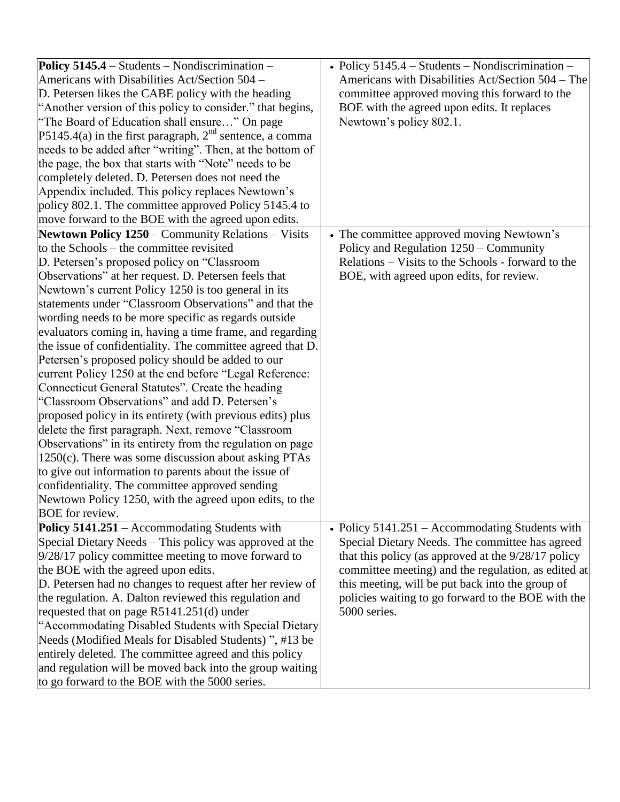| Policy $5145.4$ – Students – Nondiscrimination –<br>Americans with Disabilities Act/Section 504 -<br>D. Petersen likes the CABE policy with the heading<br>"Another version of this policy to consider." that begins,<br>"The Board of Education shall ensure" On page<br>P5145.4(a) in the first paragraph, $2nd$ sentence, a comma<br>needs to be added after "writing". Then, at the bottom of<br>the page, the box that starts with "Note" needs to be                                                                                                                                                                                                                                                                                                                                                                                                                                                                                                                                                                                                                                                                                                                      | • Policy $5145.4$ – Students – Nondiscrimination –<br>Americans with Disabilities Act/Section 504 – The<br>committee approved moving this forward to the<br>BOE with the agreed upon edits. It replaces<br>Newtown's policy 802.1.                                                                                                             |
|---------------------------------------------------------------------------------------------------------------------------------------------------------------------------------------------------------------------------------------------------------------------------------------------------------------------------------------------------------------------------------------------------------------------------------------------------------------------------------------------------------------------------------------------------------------------------------------------------------------------------------------------------------------------------------------------------------------------------------------------------------------------------------------------------------------------------------------------------------------------------------------------------------------------------------------------------------------------------------------------------------------------------------------------------------------------------------------------------------------------------------------------------------------------------------|------------------------------------------------------------------------------------------------------------------------------------------------------------------------------------------------------------------------------------------------------------------------------------------------------------------------------------------------|
| completely deleted. D. Petersen does not need the<br>Appendix included. This policy replaces Newtown's<br>policy 802.1. The committee approved Policy 5145.4 to<br>move forward to the BOE with the agreed upon edits.                                                                                                                                                                                                                                                                                                                                                                                                                                                                                                                                                                                                                                                                                                                                                                                                                                                                                                                                                          |                                                                                                                                                                                                                                                                                                                                                |
| Newtown Policy 1250 - Community Relations - Visits<br>to the Schools – the committee revisited<br>D. Petersen's proposed policy on "Classroom"<br>Observations" at her request. D. Petersen feels that<br>Newtown's current Policy 1250 is too general in its<br>statements under "Classroom Observations" and that the<br>wording needs to be more specific as regards outside<br>evaluators coming in, having a time frame, and regarding<br>the issue of confidentiality. The committee agreed that D.<br>Petersen's proposed policy should be added to our<br>current Policy 1250 at the end before "Legal Reference:<br>Connecticut General Statutes". Create the heading<br>"Classroom Observations" and add D. Petersen's<br>proposed policy in its entirety (with previous edits) plus<br>delete the first paragraph. Next, remove "Classroom"<br>Observations" in its entirety from the regulation on page<br>$1250(c)$ . There was some discussion about asking PTAs<br>to give out information to parents about the issue of<br>confidentiality. The committee approved sending<br>Newtown Policy 1250, with the agreed upon edits, to the<br><b>BOE</b> for review. | • The committee approved moving Newtown's<br>Policy and Regulation 1250 – Community<br>Relations – Visits to the Schools - forward to the<br>BOE, with agreed upon edits, for review.                                                                                                                                                          |
| Policy 5141.251 – Accommodating Students with<br>Special Dietary Needs – This policy was approved at the<br>$9/28/17$ policy committee meeting to move forward to<br>the BOE with the agreed upon edits.<br>D. Petersen had no changes to request after her review of<br>the regulation. A. Dalton reviewed this regulation and<br>requested that on page R5141.251(d) under<br>"Accommodating Disabled Students with Special Dietary<br>Needs (Modified Meals for Disabled Students)", #13 be<br>entirely deleted. The committee agreed and this policy<br>and regulation will be moved back into the group waiting<br>to go forward to the BOE with the 5000 series.                                                                                                                                                                                                                                                                                                                                                                                                                                                                                                          | • Policy $5141.251 -$ Accommodating Students with<br>Special Dietary Needs. The committee has agreed<br>that this policy (as approved at the $9/28/17$ policy<br>committee meeting) and the regulation, as edited at<br>this meeting, will be put back into the group of<br>policies waiting to go forward to the BOE with the<br>5000 series. |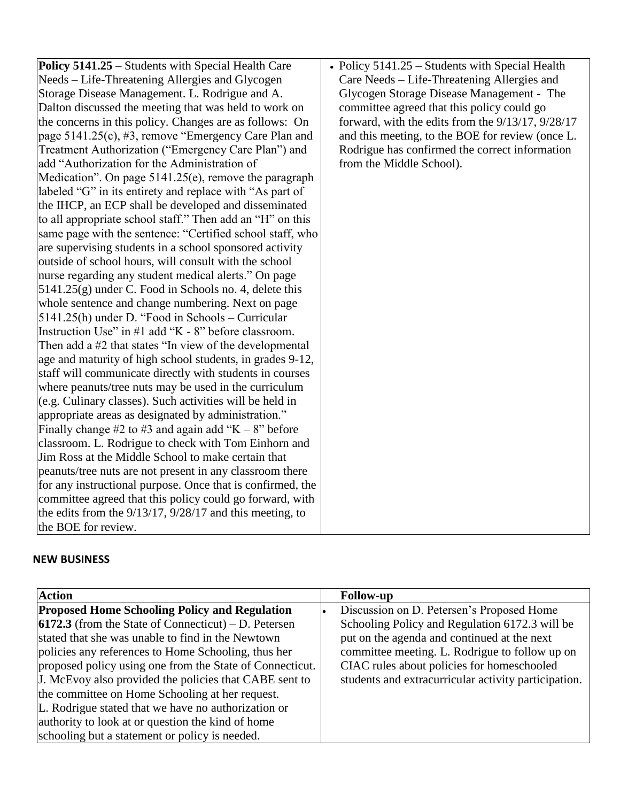| Policy 5141.25 – Students with Special Health Care<br>• Policy $5141.25$ – Students with Special Health<br>Needs – Life-Threatening Allergies and Glycogen<br>Care Needs – Life-Threatening Allergies and<br>Storage Disease Management. L. Rodrigue and A.<br>Glycogen Storage Disease Management - The<br>Dalton discussed the meeting that was held to work on<br>committee agreed that this policy could go<br>forward, with the edits from the 9/13/17, 9/28/17<br>the concerns in this policy. Changes are as follows: On<br>page 5141.25(c), #3, remove "Emergency Care Plan and<br>and this meeting, to the BOE for review (once L.<br>Treatment Authorization ("Emergency Care Plan") and<br>Rodrigue has confirmed the correct information<br>add "Authorization for the Administration of<br>from the Middle School).<br>Medication". On page $5141.25(e)$ , remove the paragraph<br>labeled "G" in its entirety and replace with "As part of<br>the IHCP, an ECP shall be developed and disseminated<br>to all appropriate school staff." Then add an "H" on this<br>same page with the sentence: "Certified school staff, who<br>are supervising students in a school sponsored activity<br>outside of school hours, will consult with the school<br>nurse regarding any student medical alerts." On page<br>$5141.25(g)$ under C. Food in Schools no. 4, delete this<br>whole sentence and change numbering. Next on page<br>5141.25(h) under D. "Food in Schools – Curricular<br>Instruction Use" in #1 add "K - 8" before classroom.<br>Then add a #2 that states "In view of the developmental<br>age and maturity of high school students, in grades 9-12,<br>staff will communicate directly with students in courses<br>where peanuts/tree nuts may be used in the curriculum<br>(e.g. Culinary classes). Such activities will be held in<br>appropriate areas as designated by administration."<br>Finally change #2 to #3 and again add " $K - 8$ " before<br>classroom. L. Rodrigue to check with Tom Einhorn and<br>Jim Ross at the Middle School to make certain that<br>peanuts/tree nuts are not present in any classroom there<br>for any instructional purpose. Once that is confirmed, the<br>committee agreed that this policy could go forward, with<br>the edits from the $9/13/17$ , $9/28/17$ and this meeting, to<br>the BOE for review. |  |
|------------------------------------------------------------------------------------------------------------------------------------------------------------------------------------------------------------------------------------------------------------------------------------------------------------------------------------------------------------------------------------------------------------------------------------------------------------------------------------------------------------------------------------------------------------------------------------------------------------------------------------------------------------------------------------------------------------------------------------------------------------------------------------------------------------------------------------------------------------------------------------------------------------------------------------------------------------------------------------------------------------------------------------------------------------------------------------------------------------------------------------------------------------------------------------------------------------------------------------------------------------------------------------------------------------------------------------------------------------------------------------------------------------------------------------------------------------------------------------------------------------------------------------------------------------------------------------------------------------------------------------------------------------------------------------------------------------------------------------------------------------------------------------------------------------------------------------------------------------------------------------------------------------------------------------------------------------------------------------------------------------------------------------------------------------------------------------------------------------------------------------------------------------------------------------------------------------------------------------------------------------------------------------------------------------------------------------------------------------------------------|--|
|                                                                                                                                                                                                                                                                                                                                                                                                                                                                                                                                                                                                                                                                                                                                                                                                                                                                                                                                                                                                                                                                                                                                                                                                                                                                                                                                                                                                                                                                                                                                                                                                                                                                                                                                                                                                                                                                                                                                                                                                                                                                                                                                                                                                                                                                                                                                                                              |  |
|                                                                                                                                                                                                                                                                                                                                                                                                                                                                                                                                                                                                                                                                                                                                                                                                                                                                                                                                                                                                                                                                                                                                                                                                                                                                                                                                                                                                                                                                                                                                                                                                                                                                                                                                                                                                                                                                                                                                                                                                                                                                                                                                                                                                                                                                                                                                                                              |  |
|                                                                                                                                                                                                                                                                                                                                                                                                                                                                                                                                                                                                                                                                                                                                                                                                                                                                                                                                                                                                                                                                                                                                                                                                                                                                                                                                                                                                                                                                                                                                                                                                                                                                                                                                                                                                                                                                                                                                                                                                                                                                                                                                                                                                                                                                                                                                                                              |  |
|                                                                                                                                                                                                                                                                                                                                                                                                                                                                                                                                                                                                                                                                                                                                                                                                                                                                                                                                                                                                                                                                                                                                                                                                                                                                                                                                                                                                                                                                                                                                                                                                                                                                                                                                                                                                                                                                                                                                                                                                                                                                                                                                                                                                                                                                                                                                                                              |  |
|                                                                                                                                                                                                                                                                                                                                                                                                                                                                                                                                                                                                                                                                                                                                                                                                                                                                                                                                                                                                                                                                                                                                                                                                                                                                                                                                                                                                                                                                                                                                                                                                                                                                                                                                                                                                                                                                                                                                                                                                                                                                                                                                                                                                                                                                                                                                                                              |  |
|                                                                                                                                                                                                                                                                                                                                                                                                                                                                                                                                                                                                                                                                                                                                                                                                                                                                                                                                                                                                                                                                                                                                                                                                                                                                                                                                                                                                                                                                                                                                                                                                                                                                                                                                                                                                                                                                                                                                                                                                                                                                                                                                                                                                                                                                                                                                                                              |  |
|                                                                                                                                                                                                                                                                                                                                                                                                                                                                                                                                                                                                                                                                                                                                                                                                                                                                                                                                                                                                                                                                                                                                                                                                                                                                                                                                                                                                                                                                                                                                                                                                                                                                                                                                                                                                                                                                                                                                                                                                                                                                                                                                                                                                                                                                                                                                                                              |  |
|                                                                                                                                                                                                                                                                                                                                                                                                                                                                                                                                                                                                                                                                                                                                                                                                                                                                                                                                                                                                                                                                                                                                                                                                                                                                                                                                                                                                                                                                                                                                                                                                                                                                                                                                                                                                                                                                                                                                                                                                                                                                                                                                                                                                                                                                                                                                                                              |  |
|                                                                                                                                                                                                                                                                                                                                                                                                                                                                                                                                                                                                                                                                                                                                                                                                                                                                                                                                                                                                                                                                                                                                                                                                                                                                                                                                                                                                                                                                                                                                                                                                                                                                                                                                                                                                                                                                                                                                                                                                                                                                                                                                                                                                                                                                                                                                                                              |  |
|                                                                                                                                                                                                                                                                                                                                                                                                                                                                                                                                                                                                                                                                                                                                                                                                                                                                                                                                                                                                                                                                                                                                                                                                                                                                                                                                                                                                                                                                                                                                                                                                                                                                                                                                                                                                                                                                                                                                                                                                                                                                                                                                                                                                                                                                                                                                                                              |  |
|                                                                                                                                                                                                                                                                                                                                                                                                                                                                                                                                                                                                                                                                                                                                                                                                                                                                                                                                                                                                                                                                                                                                                                                                                                                                                                                                                                                                                                                                                                                                                                                                                                                                                                                                                                                                                                                                                                                                                                                                                                                                                                                                                                                                                                                                                                                                                                              |  |
|                                                                                                                                                                                                                                                                                                                                                                                                                                                                                                                                                                                                                                                                                                                                                                                                                                                                                                                                                                                                                                                                                                                                                                                                                                                                                                                                                                                                                                                                                                                                                                                                                                                                                                                                                                                                                                                                                                                                                                                                                                                                                                                                                                                                                                                                                                                                                                              |  |
|                                                                                                                                                                                                                                                                                                                                                                                                                                                                                                                                                                                                                                                                                                                                                                                                                                                                                                                                                                                                                                                                                                                                                                                                                                                                                                                                                                                                                                                                                                                                                                                                                                                                                                                                                                                                                                                                                                                                                                                                                                                                                                                                                                                                                                                                                                                                                                              |  |
|                                                                                                                                                                                                                                                                                                                                                                                                                                                                                                                                                                                                                                                                                                                                                                                                                                                                                                                                                                                                                                                                                                                                                                                                                                                                                                                                                                                                                                                                                                                                                                                                                                                                                                                                                                                                                                                                                                                                                                                                                                                                                                                                                                                                                                                                                                                                                                              |  |
|                                                                                                                                                                                                                                                                                                                                                                                                                                                                                                                                                                                                                                                                                                                                                                                                                                                                                                                                                                                                                                                                                                                                                                                                                                                                                                                                                                                                                                                                                                                                                                                                                                                                                                                                                                                                                                                                                                                                                                                                                                                                                                                                                                                                                                                                                                                                                                              |  |
|                                                                                                                                                                                                                                                                                                                                                                                                                                                                                                                                                                                                                                                                                                                                                                                                                                                                                                                                                                                                                                                                                                                                                                                                                                                                                                                                                                                                                                                                                                                                                                                                                                                                                                                                                                                                                                                                                                                                                                                                                                                                                                                                                                                                                                                                                                                                                                              |  |
|                                                                                                                                                                                                                                                                                                                                                                                                                                                                                                                                                                                                                                                                                                                                                                                                                                                                                                                                                                                                                                                                                                                                                                                                                                                                                                                                                                                                                                                                                                                                                                                                                                                                                                                                                                                                                                                                                                                                                                                                                                                                                                                                                                                                                                                                                                                                                                              |  |
|                                                                                                                                                                                                                                                                                                                                                                                                                                                                                                                                                                                                                                                                                                                                                                                                                                                                                                                                                                                                                                                                                                                                                                                                                                                                                                                                                                                                                                                                                                                                                                                                                                                                                                                                                                                                                                                                                                                                                                                                                                                                                                                                                                                                                                                                                                                                                                              |  |
|                                                                                                                                                                                                                                                                                                                                                                                                                                                                                                                                                                                                                                                                                                                                                                                                                                                                                                                                                                                                                                                                                                                                                                                                                                                                                                                                                                                                                                                                                                                                                                                                                                                                                                                                                                                                                                                                                                                                                                                                                                                                                                                                                                                                                                                                                                                                                                              |  |
|                                                                                                                                                                                                                                                                                                                                                                                                                                                                                                                                                                                                                                                                                                                                                                                                                                                                                                                                                                                                                                                                                                                                                                                                                                                                                                                                                                                                                                                                                                                                                                                                                                                                                                                                                                                                                                                                                                                                                                                                                                                                                                                                                                                                                                                                                                                                                                              |  |
|                                                                                                                                                                                                                                                                                                                                                                                                                                                                                                                                                                                                                                                                                                                                                                                                                                                                                                                                                                                                                                                                                                                                                                                                                                                                                                                                                                                                                                                                                                                                                                                                                                                                                                                                                                                                                                                                                                                                                                                                                                                                                                                                                                                                                                                                                                                                                                              |  |
|                                                                                                                                                                                                                                                                                                                                                                                                                                                                                                                                                                                                                                                                                                                                                                                                                                                                                                                                                                                                                                                                                                                                                                                                                                                                                                                                                                                                                                                                                                                                                                                                                                                                                                                                                                                                                                                                                                                                                                                                                                                                                                                                                                                                                                                                                                                                                                              |  |
|                                                                                                                                                                                                                                                                                                                                                                                                                                                                                                                                                                                                                                                                                                                                                                                                                                                                                                                                                                                                                                                                                                                                                                                                                                                                                                                                                                                                                                                                                                                                                                                                                                                                                                                                                                                                                                                                                                                                                                                                                                                                                                                                                                                                                                                                                                                                                                              |  |
|                                                                                                                                                                                                                                                                                                                                                                                                                                                                                                                                                                                                                                                                                                                                                                                                                                                                                                                                                                                                                                                                                                                                                                                                                                                                                                                                                                                                                                                                                                                                                                                                                                                                                                                                                                                                                                                                                                                                                                                                                                                                                                                                                                                                                                                                                                                                                                              |  |
|                                                                                                                                                                                                                                                                                                                                                                                                                                                                                                                                                                                                                                                                                                                                                                                                                                                                                                                                                                                                                                                                                                                                                                                                                                                                                                                                                                                                                                                                                                                                                                                                                                                                                                                                                                                                                                                                                                                                                                                                                                                                                                                                                                                                                                                                                                                                                                              |  |
|                                                                                                                                                                                                                                                                                                                                                                                                                                                                                                                                                                                                                                                                                                                                                                                                                                                                                                                                                                                                                                                                                                                                                                                                                                                                                                                                                                                                                                                                                                                                                                                                                                                                                                                                                                                                                                                                                                                                                                                                                                                                                                                                                                                                                                                                                                                                                                              |  |
|                                                                                                                                                                                                                                                                                                                                                                                                                                                                                                                                                                                                                                                                                                                                                                                                                                                                                                                                                                                                                                                                                                                                                                                                                                                                                                                                                                                                                                                                                                                                                                                                                                                                                                                                                                                                                                                                                                                                                                                                                                                                                                                                                                                                                                                                                                                                                                              |  |
|                                                                                                                                                                                                                                                                                                                                                                                                                                                                                                                                                                                                                                                                                                                                                                                                                                                                                                                                                                                                                                                                                                                                                                                                                                                                                                                                                                                                                                                                                                                                                                                                                                                                                                                                                                                                                                                                                                                                                                                                                                                                                                                                                                                                                                                                                                                                                                              |  |
|                                                                                                                                                                                                                                                                                                                                                                                                                                                                                                                                                                                                                                                                                                                                                                                                                                                                                                                                                                                                                                                                                                                                                                                                                                                                                                                                                                                                                                                                                                                                                                                                                                                                                                                                                                                                                                                                                                                                                                                                                                                                                                                                                                                                                                                                                                                                                                              |  |
|                                                                                                                                                                                                                                                                                                                                                                                                                                                                                                                                                                                                                                                                                                                                                                                                                                                                                                                                                                                                                                                                                                                                                                                                                                                                                                                                                                                                                                                                                                                                                                                                                                                                                                                                                                                                                                                                                                                                                                                                                                                                                                                                                                                                                                                                                                                                                                              |  |
|                                                                                                                                                                                                                                                                                                                                                                                                                                                                                                                                                                                                                                                                                                                                                                                                                                                                                                                                                                                                                                                                                                                                                                                                                                                                                                                                                                                                                                                                                                                                                                                                                                                                                                                                                                                                                                                                                                                                                                                                                                                                                                                                                                                                                                                                                                                                                                              |  |
|                                                                                                                                                                                                                                                                                                                                                                                                                                                                                                                                                                                                                                                                                                                                                                                                                                                                                                                                                                                                                                                                                                                                                                                                                                                                                                                                                                                                                                                                                                                                                                                                                                                                                                                                                                                                                                                                                                                                                                                                                                                                                                                                                                                                                                                                                                                                                                              |  |
|                                                                                                                                                                                                                                                                                                                                                                                                                                                                                                                                                                                                                                                                                                                                                                                                                                                                                                                                                                                                                                                                                                                                                                                                                                                                                                                                                                                                                                                                                                                                                                                                                                                                                                                                                                                                                                                                                                                                                                                                                                                                                                                                                                                                                                                                                                                                                                              |  |
|                                                                                                                                                                                                                                                                                                                                                                                                                                                                                                                                                                                                                                                                                                                                                                                                                                                                                                                                                                                                                                                                                                                                                                                                                                                                                                                                                                                                                                                                                                                                                                                                                                                                                                                                                                                                                                                                                                                                                                                                                                                                                                                                                                                                                                                                                                                                                                              |  |

### **NEW BUSINESS**

| <b>Action</b>                                            | <b>Follow-up</b>                                     |
|----------------------------------------------------------|------------------------------------------------------|
| <b>Proposed Home Schooling Policy and Regulation</b>     | Discussion on D. Petersen's Proposed Home            |
| $ 6172.3$ (from the State of Connecticut) – D. Petersen  | Schooling Policy and Regulation 6172.3 will be       |
| stated that she was unable to find in the Newtown        | put on the agenda and continued at the next          |
| policies any references to Home Schooling, thus her      | committee meeting. L. Rodrigue to follow up on       |
| proposed policy using one from the State of Connecticut. | CIAC rules about policies for homeschooled           |
| J. McEvoy also provided the policies that CABE sent to   | students and extracurricular activity participation. |
| the committee on Home Schooling at her request.          |                                                      |
| L. Rodrigue stated that we have no authorization or      |                                                      |
| authority to look at or question the kind of home        |                                                      |
| schooling but a statement or policy is needed.           |                                                      |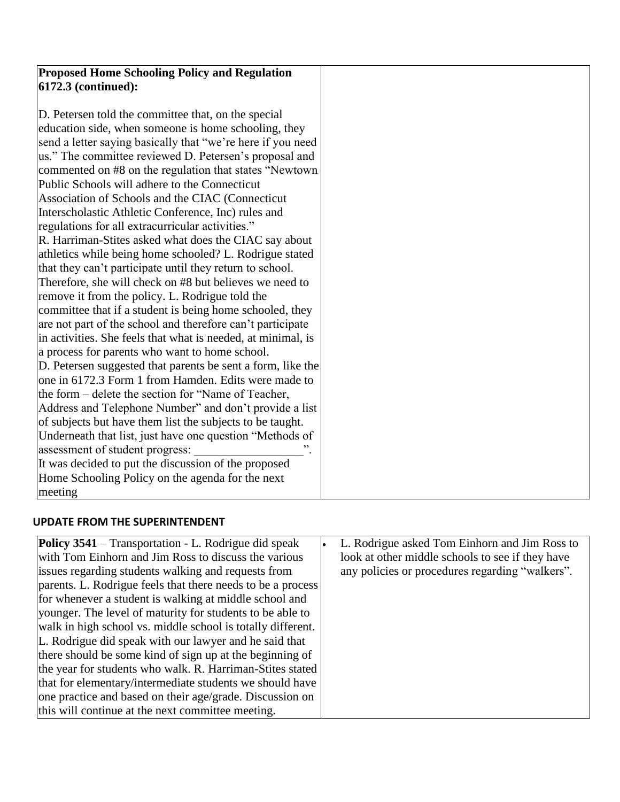| <b>Proposed Home Schooling Policy and Regulation</b>         |  |
|--------------------------------------------------------------|--|
| 6172.3 (continued):                                          |  |
|                                                              |  |
| D. Petersen told the committee that, on the special          |  |
| education side, when someone is home schooling, they         |  |
| send a letter saying basically that "we're here if you need  |  |
| us." The committee reviewed D. Petersen's proposal and       |  |
| commented on #8 on the regulation that states "Newtown       |  |
| Public Schools will adhere to the Connecticut                |  |
| Association of Schools and the CIAC (Connecticut             |  |
| Interscholastic Athletic Conference, Inc) rules and          |  |
| regulations for all extracurricular activities."             |  |
| R. Harriman-Stites asked what does the CIAC say about        |  |
| athletics while being home schooled? L. Rodrigue stated      |  |
| that they can't participate until they return to school.     |  |
| Therefore, she will check on #8 but believes we need to      |  |
| remove it from the policy. L. Rodrigue told the              |  |
| committee that if a student is being home schooled, they     |  |
| are not part of the school and therefore can't participate   |  |
| in activities. She feels that what is needed, at minimal, is |  |
| a process for parents who want to home school.               |  |
| D. Petersen suggested that parents be sent a form, like the  |  |
| one in 6172.3 Form 1 from Hamden. Edits were made to         |  |
| the form – delete the section for "Name of Teacher,          |  |
| Address and Telephone Number" and don't provide a list       |  |
| of subjects but have them list the subjects to be taught.    |  |
| Underneath that list, just have one question "Methods of     |  |
| assessment of student progress:                              |  |
| It was decided to put the discussion of the proposed         |  |
| Home Schooling Policy on the agenda for the next             |  |
| meeting                                                      |  |

# **UPDATE FROM THE SUPERINTENDENT**

| <b>Policy 3541</b> – Transportation - L. Rodrigue did speak | L. Rodrigue asked Tom Einhorn and Jim Ross to    |
|-------------------------------------------------------------|--------------------------------------------------|
| with Tom Einhorn and Jim Ross to discuss the various        | look at other middle schools to see if they have |
| issues regarding students walking and requests from         | any policies or procedures regarding "walkers".  |
| parents. L. Rodrigue feels that there needs to be a process |                                                  |
| for whenever a student is walking at middle school and      |                                                  |
| younger. The level of maturity for students to be able to   |                                                  |
| walk in high school vs. middle school is totally different. |                                                  |
| L. Rodrigue did speak with our lawyer and he said that      |                                                  |
| there should be some kind of sign up at the beginning of    |                                                  |
| the year for students who walk. R. Harriman-Stites stated   |                                                  |
| that for elementary/intermediate students we should have    |                                                  |
| one practice and based on their age/grade. Discussion on    |                                                  |
| this will continue at the next committee meeting.           |                                                  |